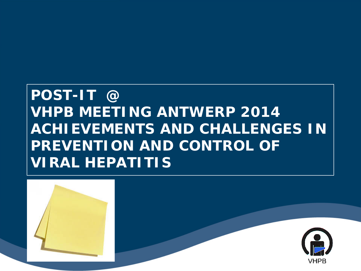#### **POST-IT @ VHPB MEETING ANTWERP 2014 ACHIEVEMENTS AND CHALLENGES IN PREVENTION AND CONTROL OF VIRAL HEPATITIS**

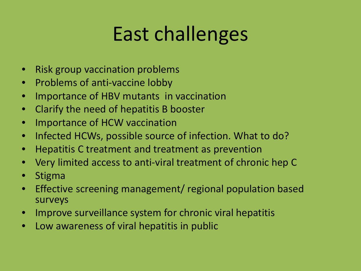## East challenges

- Risk group vaccination problems
- Problems of anti-vaccine lobby
- Importance of HBV mutants in vaccination
- Clarify the need of hepatitis B booster
- Importance of HCW vaccination
- Infected HCWs, possible source of infection. What to do?
- Hepatitis C treatment and treatment as prevention
- Very limited access to anti-viral treatment of chronic hep C
- Stigma
- Effective screening management/ regional population based surveys
- Improve surveillance system for chronic viral hepatitis
- Low awareness of viral hepatitis in public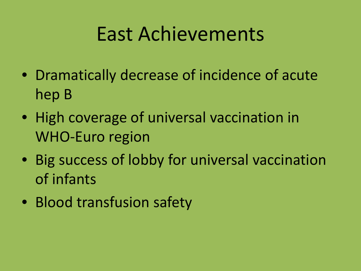#### East Achievements

- Dramatically decrease of incidence of acute hep B
- High coverage of universal vaccination in WHO-Euro region
- Big success of lobby for universal vaccination of infants
- Blood transfusion safety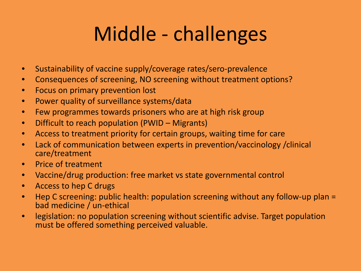## Middle - challenges

- Sustainability of vaccine supply/coverage rates/sero-prevalence
- Consequences of screening, NO screening without treatment options?
- Focus on primary prevention lost
- Power quality of surveillance systems/data
- Few programmes towards prisoners who are at high risk group
- Difficult to reach population (PWID Migrants)
- Access to treatment priority for certain groups, waiting time for care
- Lack of communication between experts in prevention/vaccinology /clinical care/treatment
- Price of treatment
- Vaccine/drug production: free market vs state governmental control
- Access to hep C drugs
- Hep C screening: public health: population screening without any follow-up plan = bad medicine / un-ethical
- legislation: no population screening without scientific advise. Target population must be offered something perceived valuable.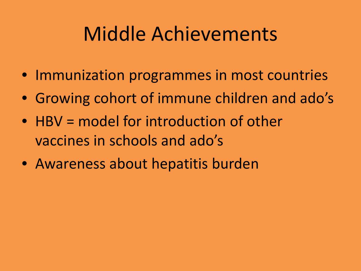#### Middle Achievements

- Immunization programmes in most countries
- Growing cohort of immune children and ado's
- HBV = model for introduction of other vaccines in schools and ado's
- Awareness about hepatitis burden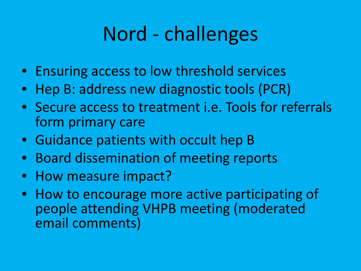## Nord - challenges

- Ensuring access to low threshold services
- Hep B: address new diagnostic tools (PCR)
- Secure access to treatment i.e. Tools for referrals form primary care
- Guidance patients with occult hep B
- Board dissemination of meeting reports
- How measure impact?
- How to encourage more active participating of people attending VHPB meeting (moderated email comments)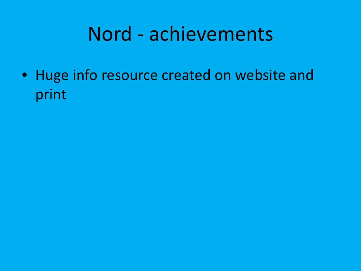#### Nord - achievements

• Huge info resource created on website and print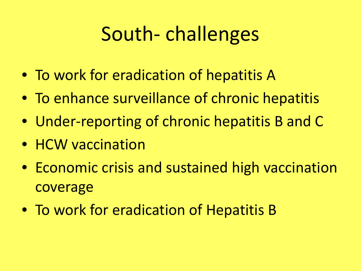#### South- challenges

- To work for eradication of hepatitis A
- To enhance surveillance of chronic hepatitis
- Under-reporting of chronic hepatitis B and C
- HCW vaccination
- Economic crisis and sustained high vaccination coverage
- To work for eradication of Hepatitis B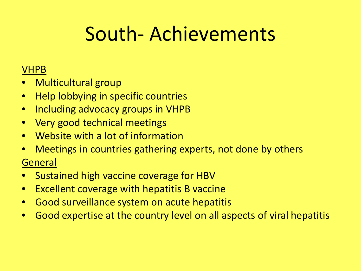#### South- Achievements

#### VHPB

- Multicultural group
- Help lobbying in specific countries
- Including advocacy groups in VHPB
- Very good technical meetings
- Website with a lot of information
- Meetings in countries gathering experts, not done by others **General**
- Sustained high vaccine coverage for HBV
- Excellent coverage with hepatitis B vaccine
- Good surveillance system on acute hepatitis
- Good expertise at the country level on all aspects of viral hepatitis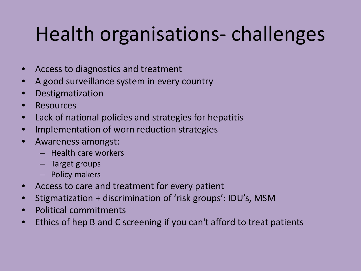# Health organisations- challenges

- Access to diagnostics and treatment
- A good surveillance system in every country
- **Destigmatization**
- **Resources**
- Lack of national policies and strategies for hepatitis
- Implementation of worn reduction strategies
- Awareness amongst:
	- Health care workers
	- Target groups
	- Policy makers
- Access to care and treatment for every patient
- Stigmatization + discrimination of 'risk groups': IDU's, MSM
- Political commitments
- Ethics of hep B and C screening if you can't afford to treat patients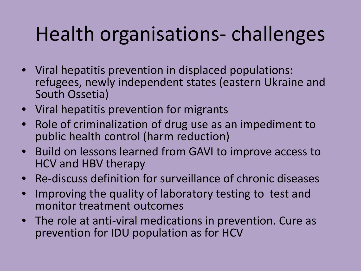## Health organisations- challenges

- Viral hepatitis prevention in displaced populations: refugees, newly independent states (eastern Ukraine and South Ossetia)
- Viral hepatitis prevention for migrants
- Role of criminalization of drug use as an impediment to public health control (harm reduction)
- Build on lessons learned from GAVI to improve access to HCV and HBV therapy
- Re-discuss definition for surveillance of chronic diseases
- Improving the quality of laboratory testing to test and monitor treatment outcomes
- The role at anti-viral medications in prevention. Cure as prevention for IDU population as for HCV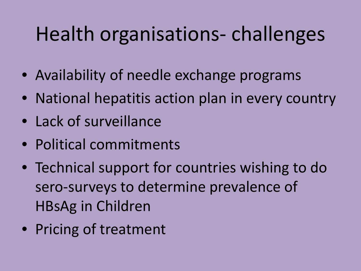## Health organisations- challenges

- Availability of needle exchange programs
- National hepatitis action plan in every country
- Lack of surveillance
- Political commitments
- Technical support for countries wishing to do sero-surveys to determine prevalence of HBsAg in Children
- Pricing of treatment